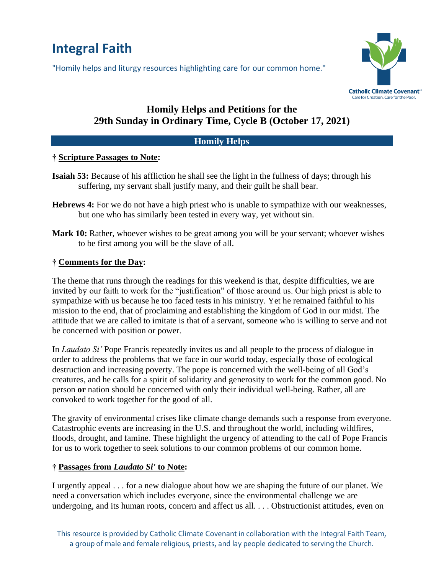# **Integral Faith**

"Homily helps and liturgy resources highlighting care for our common home."



# **Homily Helps and Petitions for the 29th Sunday in Ordinary Time, Cycle B (October 17, 2021)**

#### **Homily Helps**

## **† Scripture Passages to Note:**

- **Isaiah 53:** Because of his affliction he shall see the light in the fullness of days; through his suffering, my servant shall justify many, and their guilt he shall bear.
- **Hebrews 4:** For we do not have a high priest who is unable to sympathize with our weaknesses, but one who has similarly been tested in every way, yet without sin.
- **Mark 10:** Rather, whoever wishes to be great among you will be your servant; whoever wishes to be first among you will be the slave of all.

#### **† Comments for the Day:**

The theme that runs through the readings for this weekend is that, despite difficulties, we are invited by our faith to work for the "justification" of those around us. Our high priest is able to sympathize with us because he too faced tests in his ministry. Yet he remained faithful to his mission to the end, that of proclaiming and establishing the kingdom of God in our midst. The attitude that we are called to imitate is that of a servant, someone who is willing to serve and not be concerned with position or power.

In *Laudato Si'* Pope Francis repeatedly invites us and all people to the process of dialogue in order to address the problems that we face in our world today, especially those of ecological destruction and increasing poverty. The pope is concerned with the well-being of all God's creatures, and he calls for a spirit of solidarity and generosity to work for the common good. No person **or** nation should be concerned with only their individual well-being. Rather, all are convoked to work together for the good of all.

The gravity of environmental crises like climate change demands such a response from everyone. Catastrophic events are increasing in the U.S. and throughout the world, including wildfires, floods, drought, and famine. These highlight the urgency of attending to the call of Pope Francis for us to work together to seek solutions to our common problems of our common home.

## **† Passages from** *Laudato Si'* **to Note:**

I urgently appeal . . . for a new dialogue about how we are shaping the future of our planet. We need a conversation which includes everyone, since the environmental challenge we are undergoing, and its human roots, concern and affect us all. . . . Obstructionist attitudes, even on